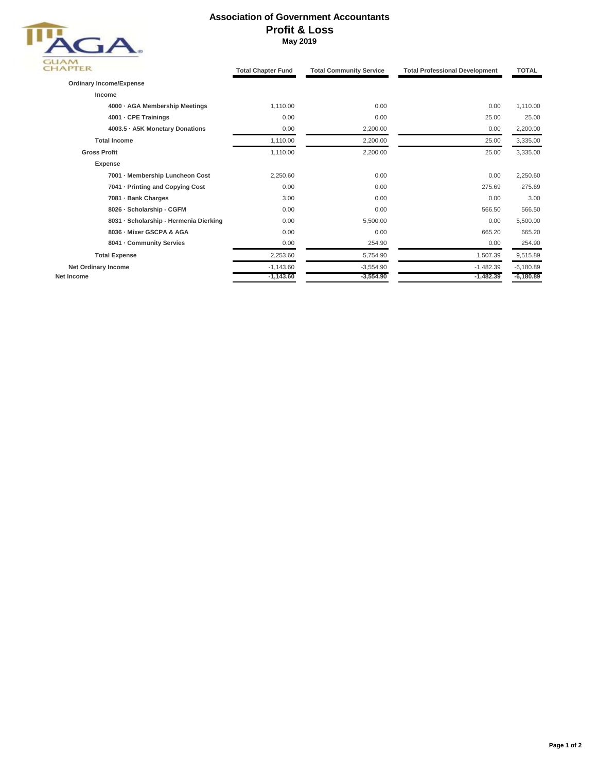

## **Association of Government Accountants Profit & Loss May 2019**

| <b>IAPTER</b>                          | <b>Total Chapter Fund</b> | <b>Total Community Service</b> | <b>Total Professional Development</b> | <b>TOTAL</b>             |
|----------------------------------------|---------------------------|--------------------------------|---------------------------------------|--------------------------|
| <b>Ordinary Income/Expense</b>         |                           |                                |                                       |                          |
| Income                                 |                           |                                |                                       |                          |
| 4000 · AGA Membership Meetings         | 1,110.00<br>0.00          |                                | 0.00                                  | 1,110.00                 |
| 4001 - CPE Trainings                   | 0.00                      | 0.00                           | 25.00                                 | 25.00<br>2,200.00        |
| 4003.5 · A5K Monetary Donations        | 0.00                      | 2,200.00                       | 0.00                                  |                          |
| <b>Total Income</b>                    | 1,110.00                  | 2,200.00                       | 25.00                                 | 3,335.00                 |
| <b>Gross Profit</b>                    | 1,110.00                  | 2,200.00                       | 25.00                                 | 3,335.00                 |
| Expense                                |                           |                                |                                       |                          |
| 7001 - Membership Luncheon Cost        | 2,250.60                  | 0.00                           | 0.00                                  | 2,250.60                 |
| 7041 - Printing and Copying Cost       | 0.00<br>3.00              | 0.00<br>0.00<br>0.00           | 275.69<br>0.00<br>566.50              | 275.69<br>3.00<br>566.50 |
| 7081 - Bank Charges                    |                           |                                |                                       |                          |
| 8026 - Scholarship - CGFM              | 0.00                      |                                |                                       |                          |
| 8031 · Scholarship - Hermenia Dierking | 0.00                      | 5,500.00                       | 0.00                                  | 5,500.00                 |
| 8036 - Mixer GSCPA & AGA               | 0.00                      | 0.00                           | 665.20                                | 665.20                   |
| 8041 - Community Servies               | 0.00                      | 254.90                         | 0.00                                  | 254.90                   |
| <b>Total Expense</b>                   | 2,253.60                  | 5,754.90                       | 1,507.39                              | 9,515.89                 |
| <b>Net Ordinary Income</b>             | $-1,143.60$               | $-3,554.90$                    | $-1,482.39$                           | $-6,180.89$              |
| Net Income                             | $-1,143.60$               | $-3,554.90$                    | $-1,482.39$                           | $-6,180.89$              |
|                                        |                           |                                |                                       |                          |